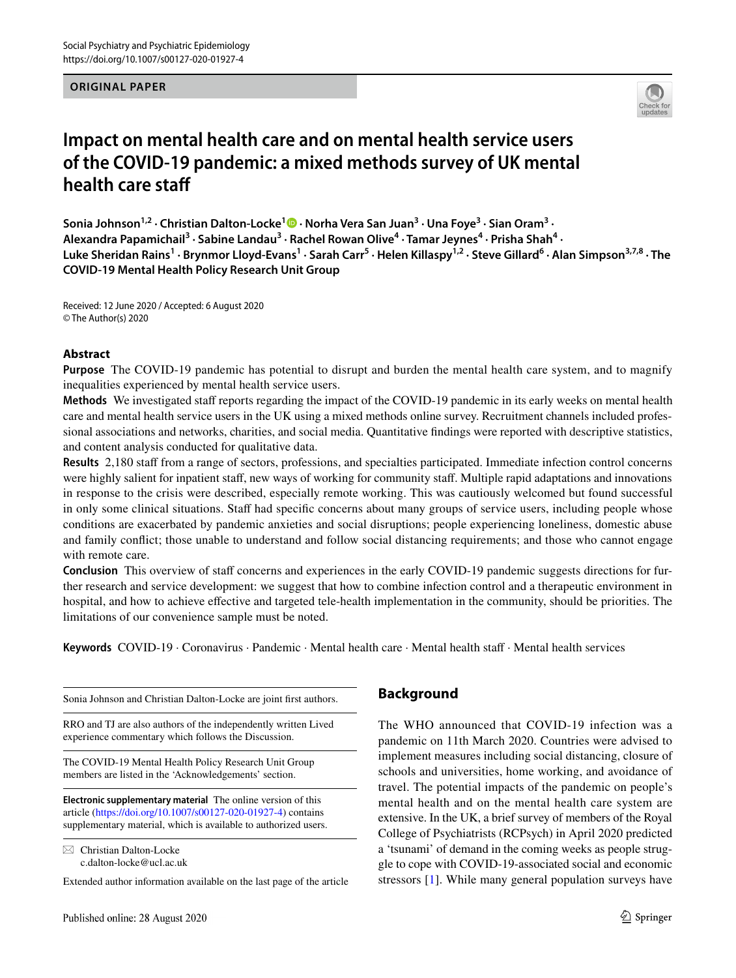#### **ORIGINAL PAPER**



# **Impact on mental health care and on mental health service users of the COVID‑19 pandemic: a mixed methods survey of UK mental health care staf**

**Sonia Johnson1,2 · Christian Dalton‑Locke[1](http://orcid.org/0000-0002-1876-4741) · Norha Vera San Juan3 · Una Foye<sup>3</sup> · Sian Oram3 ·**  Alexandra Papamichail<sup>3</sup> · Sabine Landau<sup>3</sup> · Rachel Rowan Olive<sup>4</sup> · Tamar Jeynes<sup>4</sup> · Prisha Shah<sup>4</sup> · Luke Sheridan Rains<sup>1</sup> · Brynmor Lloyd-Evans<sup>1</sup> · Sarah Carr<sup>5</sup> · Helen Killaspy<sup>1,2</sup> · Steve Gillard<sup>6</sup> · Alan Simpson<sup>3,7,8</sup> · The **COVID-19 Mental Health Policy Research Unit Group**

Received: 12 June 2020 / Accepted: 6 August 2020 © The Author(s) 2020

#### **Abstract**

**Purpose** The COVID-19 pandemic has potential to disrupt and burden the mental health care system, and to magnify inequalities experienced by mental health service users.

**Methods** We investigated staf reports regarding the impact of the COVID-19 pandemic in its early weeks on mental health care and mental health service users in the UK using a mixed methods online survey. Recruitment channels included professional associations and networks, charities, and social media. Quantitative fndings were reported with descriptive statistics, and content analysis conducted for qualitative data.

**Results** 2,180 staff from a range of sectors, professions, and specialties participated. Immediate infection control concerns were highly salient for inpatient staf, new ways of working for community staf. Multiple rapid adaptations and innovations in response to the crisis were described, especially remote working. This was cautiously welcomed but found successful in only some clinical situations. Staff had specific concerns about many groups of service users, including people whose conditions are exacerbated by pandemic anxieties and social disruptions; people experiencing loneliness, domestic abuse and family confict; those unable to understand and follow social distancing requirements; and those who cannot engage with remote care.

**Conclusion** This overview of staff concerns and experiences in the early COVID-19 pandemic suggests directions for further research and service development: we suggest that how to combine infection control and a therapeutic environment in hospital, and how to achieve efective and targeted tele-health implementation in the community, should be priorities. The limitations of our convenience sample must be noted.

**Keywords** COVID-19 · Coronavirus · Pandemic · Mental health care · Mental health staf · Mental health services

Sonia Johnson and Christian Dalton-Locke are joint frst authors.

RRO and TJ are also authors of the independently written Lived experience commentary which follows the Discussion.

The COVID-19 Mental Health Policy Research Unit Group members are listed in the 'Acknowledgements' section.

**Electronic supplementary material** The online version of this article [\(https://doi.org/10.1007/s00127-020-01927-4\)](https://doi.org/10.1007/s00127-020-01927-4) contains supplementary material, which is available to authorized users.

 $\boxtimes$  Christian Dalton-Locke c.dalton-locke@ucl.ac.uk

Extended author information available on the last page of the article

#### **Background**

The WHO announced that COVID-19 infection was a pandemic on 11th March 2020. Countries were advised to implement measures including social distancing, closure of schools and universities, home working, and avoidance of travel. The potential impacts of the pandemic on people's mental health and on the mental health care system are extensive. In the UK, a brief survey of members of the Royal College of Psychiatrists (RCPsych) in April 2020 predicted a 'tsunami' of demand in the coming weeks as people struggle to cope with COVID-19-associated social and economic stressors [\[1](#page-11-0)]. While many general population surveys have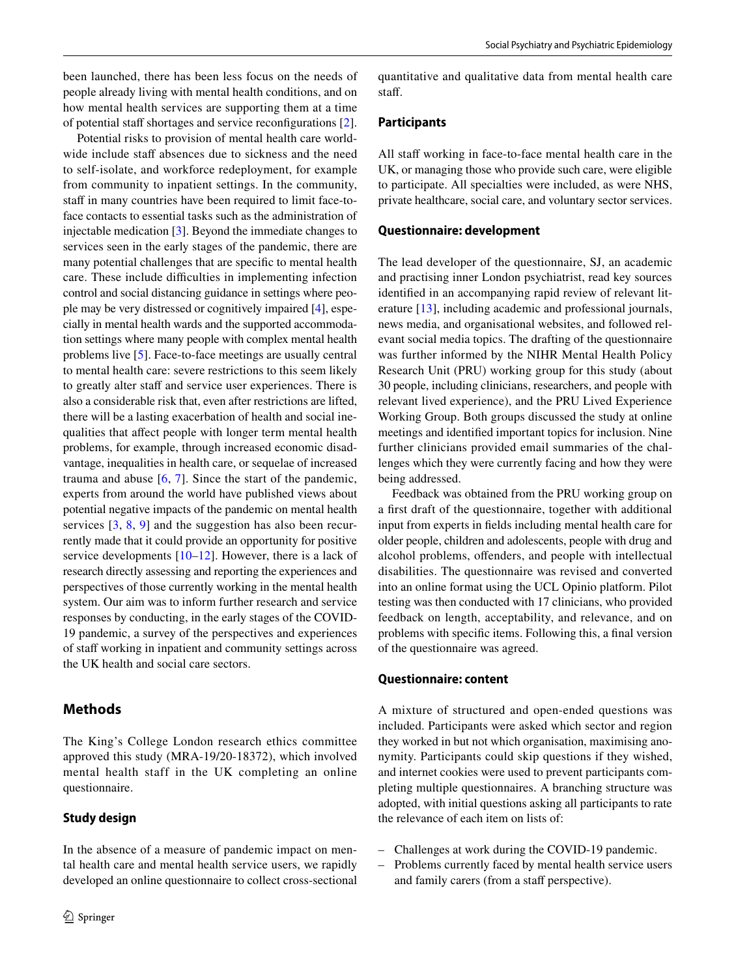been launched, there has been less focus on the needs of people already living with mental health conditions, and on how mental health services are supporting them at a time of potential staff shortages and service reconfigurations [\[2](#page-11-1)].

Potential risks to provision of mental health care worldwide include staff absences due to sickness and the need to self-isolate, and workforce redeployment, for example from community to inpatient settings. In the community, staff in many countries have been required to limit face-toface contacts to essential tasks such as the administration of injectable medication [\[3](#page-11-2)]. Beyond the immediate changes to services seen in the early stages of the pandemic, there are many potential challenges that are specifc to mental health care. These include difficulties in implementing infection control and social distancing guidance in settings where people may be very distressed or cognitively impaired [\[4](#page-11-3)], especially in mental health wards and the supported accommodation settings where many people with complex mental health problems live [\[5](#page-11-4)]. Face-to-face meetings are usually central to mental health care: severe restrictions to this seem likely to greatly alter staff and service user experiences. There is also a considerable risk that, even after restrictions are lifted, there will be a lasting exacerbation of health and social inequalities that afect people with longer term mental health problems, for example, through increased economic disadvantage, inequalities in health care, or sequelae of increased trauma and abuse [[6,](#page-11-5) [7\]](#page-11-6). Since the start of the pandemic, experts from around the world have published views about potential negative impacts of the pandemic on mental health services  $[3, 8, 9]$  $[3, 8, 9]$  $[3, 8, 9]$  $[3, 8, 9]$  $[3, 8, 9]$  $[3, 8, 9]$  and the suggestion has also been recurrently made that it could provide an opportunity for positive service developments [\[10](#page-11-9)[–12\]](#page-11-10). However, there is a lack of research directly assessing and reporting the experiences and perspectives of those currently working in the mental health system. Our aim was to inform further research and service responses by conducting, in the early stages of the COVID-19 pandemic, a survey of the perspectives and experiences of staf working in inpatient and community settings across the UK health and social care sectors.

# **Methods**

The King's College London research ethics committee approved this study (MRA-19/20-18372), which involved mental health staff in the UK completing an online questionnaire.

#### **Study design**

In the absence of a measure of pandemic impact on mental health care and mental health service users, we rapidly developed an online questionnaire to collect cross-sectional quantitative and qualitative data from mental health care staff

#### **Participants**

All staff working in face-to-face mental health care in the UK, or managing those who provide such care, were eligible to participate. All specialties were included, as were NHS, private healthcare, social care, and voluntary sector services.

#### **Questionnaire: development**

The lead developer of the questionnaire, SJ, an academic and practising inner London psychiatrist, read key sources identifed in an accompanying rapid review of relevant literature [\[13](#page-11-11)], including academic and professional journals, news media, and organisational websites, and followed relevant social media topics. The drafting of the questionnaire was further informed by the NIHR Mental Health Policy Research Unit (PRU) working group for this study (about 30 people, including clinicians, researchers, and people with relevant lived experience), and the PRU Lived Experience Working Group. Both groups discussed the study at online meetings and identifed important topics for inclusion. Nine further clinicians provided email summaries of the challenges which they were currently facing and how they were being addressed.

Feedback was obtained from the PRU working group on a frst draft of the questionnaire, together with additional input from experts in felds including mental health care for older people, children and adolescents, people with drug and alcohol problems, ofenders, and people with intellectual disabilities. The questionnaire was revised and converted into an online format using the UCL Opinio platform. Pilot testing was then conducted with 17 clinicians, who provided feedback on length, acceptability, and relevance, and on problems with specifc items. Following this, a fnal version of the questionnaire was agreed.

#### **Questionnaire: content**

A mixture of structured and open-ended questions was included. Participants were asked which sector and region they worked in but not which organisation, maximising anonymity. Participants could skip questions if they wished, and internet cookies were used to prevent participants completing multiple questionnaires. A branching structure was adopted, with initial questions asking all participants to rate the relevance of each item on lists of:

- Challenges at work during the COVID-19 pandemic.
- Problems currently faced by mental health service users and family carers (from a staff perspective).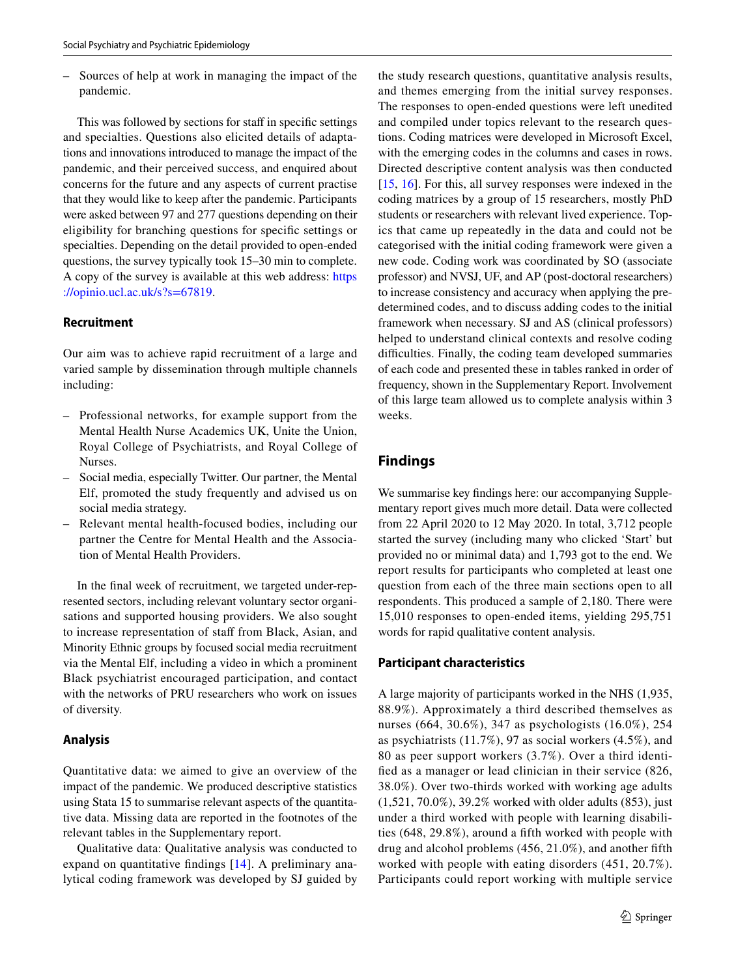– Sources of help at work in managing the impact of the pandemic.

This was followed by sections for staff in specific settings and specialties. Questions also elicited details of adaptations and innovations introduced to manage the impact of the pandemic, and their perceived success, and enquired about concerns for the future and any aspects of current practise that they would like to keep after the pandemic. Participants were asked between 97 and 277 questions depending on their eligibility for branching questions for specifc settings or specialties. Depending on the detail provided to open-ended questions, the survey typically took 15–30 min to complete. A copy of the survey is available at this web address: [https](https://opinio.ucl.ac.uk/s?s=67819) [://opinio.ucl.ac.uk/s?s=67819.](https://opinio.ucl.ac.uk/s?s=67819)

#### **Recruitment**

Our aim was to achieve rapid recruitment of a large and varied sample by dissemination through multiple channels including:

- Professional networks, for example support from the Mental Health Nurse Academics UK, Unite the Union, Royal College of Psychiatrists, and Royal College of Nurses.
- Social media, especially Twitter. Our partner, the Mental Elf, promoted the study frequently and advised us on social media strategy.
- Relevant mental health-focused bodies, including our partner the Centre for Mental Health and the Association of Mental Health Providers.

In the fnal week of recruitment, we targeted under-represented sectors, including relevant voluntary sector organisations and supported housing providers. We also sought to increase representation of staff from Black, Asian, and Minority Ethnic groups by focused social media recruitment via the Mental Elf, including a video in which a prominent Black psychiatrist encouraged participation, and contact with the networks of PRU researchers who work on issues of diversity.

#### **Analysis**

Quantitative data: we aimed to give an overview of the impact of the pandemic. We produced descriptive statistics using Stata 15 to summarise relevant aspects of the quantitative data. Missing data are reported in the footnotes of the relevant tables in the Supplementary report.

Qualitative data: Qualitative analysis was conducted to expand on quantitative fndings [\[14\]](#page-11-12). A preliminary analytical coding framework was developed by SJ guided by the study research questions, quantitative analysis results, and themes emerging from the initial survey responses. The responses to open-ended questions were left unedited and compiled under topics relevant to the research questions. Coding matrices were developed in Microsoft Excel, with the emerging codes in the columns and cases in rows. Directed descriptive content analysis was then conducted [[15,](#page-11-13) [16](#page-11-14)]. For this, all survey responses were indexed in the coding matrices by a group of 15 researchers, mostly PhD students or researchers with relevant lived experience. Topics that came up repeatedly in the data and could not be categorised with the initial coding framework were given a new code. Coding work was coordinated by SO (associate professor) and NVSJ, UF, and AP (post-doctoral researchers) to increase consistency and accuracy when applying the predetermined codes, and to discuss adding codes to the initial framework when necessary. SJ and AS (clinical professors) helped to understand clinical contexts and resolve coding difficulties. Finally, the coding team developed summaries of each code and presented these in tables ranked in order of frequency, shown in the Supplementary Report. Involvement of this large team allowed us to complete analysis within 3 weeks.

#### **Findings**

We summarise key fndings here: our accompanying Supplementary report gives much more detail. Data were collected from 22 April 2020 to 12 May 2020. In total, 3,712 people started the survey (including many who clicked 'Start' but provided no or minimal data) and 1,793 got to the end. We report results for participants who completed at least one question from each of the three main sections open to all respondents. This produced a sample of 2,180. There were 15,010 responses to open-ended items, yielding 295,751 words for rapid qualitative content analysis.

#### **Participant characteristics**

A large majority of participants worked in the NHS (1,935, 88.9%). Approximately a third described themselves as nurses (664, 30.6%), 347 as psychologists (16.0%), 254 as psychiatrists (11.7%), 97 as social workers (4.5%), and 80 as peer support workers (3.7%). Over a third identifed as a manager or lead clinician in their service (826, 38.0%). Over two-thirds worked with working age adults (1,521, 70.0%), 39.2% worked with older adults (853), just under a third worked with people with learning disabilities (648, 29.8%), around a ffth worked with people with drug and alcohol problems (456, 21.0%), and another ffth worked with people with eating disorders (451, 20.7%). Participants could report working with multiple service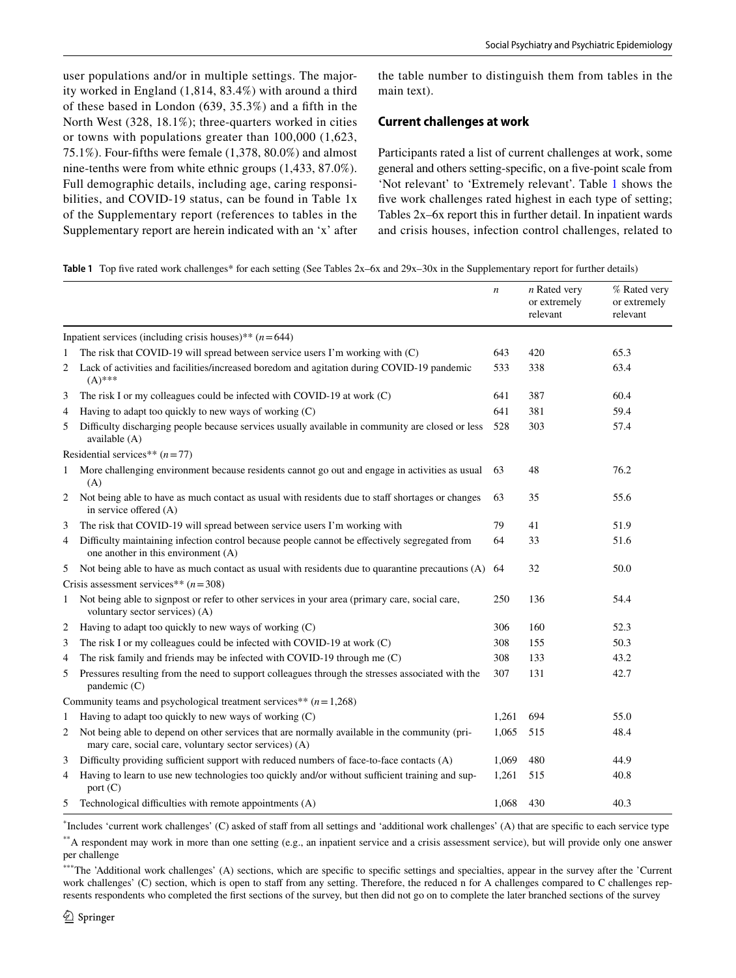user populations and/or in multiple settings. The majority worked in England (1,814, 83.4%) with around a third of these based in London (639, 35.3%) and a ffth in the North West (328, 18.1%); three-quarters worked in cities or towns with populations greater than 100,000 (1,623, 75.1%). Four-ffths were female (1,378, 80.0%) and almost nine-tenths were from white ethnic groups (1,433, 87.0%). Full demographic details, including age, caring responsibilities, and COVID-19 status, can be found in Table 1x of the Supplementary report (references to tables in the Supplementary report are herein indicated with an 'x' after the table number to distinguish them from tables in the main text).

#### **Current challenges at work**

Participants rated a list of current challenges at work, some general and others setting-specifc, on a fve-point scale from 'Not relevant' to 'Extremely relevant'. Table [1](#page-3-0) shows the five work challenges rated highest in each type of setting; Tables 2x–6x report this in further detail. In inpatient wards and crisis houses, infection control challenges, related to

<span id="page-3-0"></span>

|  |  |  |  | Table 1 Top five rated work challenges* for each setting (See Tables $2x-6x$ and $29x-30x$ in the Supplementary report for further details) |  |  |
|--|--|--|--|---------------------------------------------------------------------------------------------------------------------------------------------|--|--|
|--|--|--|--|---------------------------------------------------------------------------------------------------------------------------------------------|--|--|

|              |                                                                                                                                                         | $\boldsymbol{n}$ | $n$ Rated very<br>or extremely<br>relevant | % Rated very<br>or extremely<br>relevant |
|--------------|---------------------------------------------------------------------------------------------------------------------------------------------------------|------------------|--------------------------------------------|------------------------------------------|
|              | Inpatient services (including crisis houses)** $(n=644)$                                                                                                |                  |                                            |                                          |
| 1            | The risk that COVID-19 will spread between service users I'm working with (C)                                                                           | 643              | 420                                        | 65.3                                     |
| 2            | Lack of activities and facilities/increased boredom and agitation during COVID-19 pandemic<br>$(A)$ ***                                                 | 533              | 338                                        | 63.4                                     |
| 3            | The risk I or my colleagues could be infected with COVID-19 at work (C)                                                                                 | 641              | 387                                        | 60.4                                     |
| 4            | Having to adapt too quickly to new ways of working (C)                                                                                                  | 641              | 381                                        | 59.4                                     |
| 5            | Difficulty discharging people because services usually available in community are closed or less<br>available (A)                                       | 528              | 303                                        | 57.4                                     |
|              | Residential services** $(n=77)$                                                                                                                         |                  |                                            |                                          |
| 1            | More challenging environment because residents cannot go out and engage in activities as usual<br>(A)                                                   | 63               | 48                                         | 76.2                                     |
| $\mathbf{2}$ | Not being able to have as much contact as usual with residents due to staff shortages or changes<br>in service offered (A)                              | 63               | 35                                         | 55.6                                     |
| 3            | The risk that COVID-19 will spread between service users I'm working with                                                                               | 79               | 41                                         | 51.9                                     |
| 4            | Difficulty maintaining infection control because people cannot be effectively segregated from<br>one another in this environment (A)                    | 64               | 33                                         | 51.6                                     |
| 5            | Not being able to have as much contact as usual with residents due to quarantine precautions (A)                                                        | 64               | 32                                         | 50.0                                     |
|              | Crisis assessment services** $(n=308)$                                                                                                                  |                  |                                            |                                          |
|              | 1 Not being able to signpost or refer to other services in your area (primary care, social care,<br>voluntary sector services) (A)                      | 250              | 136                                        | 54.4                                     |
| 2            | Having to adapt too quickly to new ways of working $(C)$                                                                                                | 306              | 160                                        | 52.3                                     |
| 3            | The risk I or my colleagues could be infected with COVID-19 at work (C)                                                                                 | 308              | 155                                        | 50.3                                     |
| 4            | The risk family and friends may be infected with COVID-19 through me (C)                                                                                | 308              | 133                                        | 43.2                                     |
| 5            | Pressures resulting from the need to support colleagues through the stresses associated with the<br>pandemic (C)                                        | 307              | 131                                        | 42.7                                     |
|              | Community teams and psychological treatment services <sup>**</sup> $(n=1,268)$                                                                          |                  |                                            |                                          |
| 1            | Having to adapt too quickly to new ways of working (C)                                                                                                  | 1,261            | 694                                        | 55.0                                     |
| 2            | Not being able to depend on other services that are normally available in the community (pri-<br>mary care, social care, voluntary sector services) (A) | 1,065            | 515                                        | 48.4                                     |
| 3            | Difficulty providing sufficient support with reduced numbers of face-to-face contacts (A)                                                               | 1,069            | 480                                        | 44.9                                     |
| 4            | Having to learn to use new technologies too quickly and/or without sufficient training and sup-<br>port $(C)$                                           | 1,261            | 515                                        | 40.8                                     |
| 5            | Technological difficulties with remote appointments (A)                                                                                                 | 1,068            | 430                                        | 40.3                                     |

\* Includes 'current work challenges' (C) asked of staf from all settings and 'additional work challenges' (A) that are specifc to each service type

\*\*A respondent may work in more than one setting (e.g., an inpatient service and a crisis assessment service), but will provide only one answer per challenge

\*\*\*The 'Additional work challenges' (A) sections, which are specific to specific settings and specialties, appear in the survey after the 'Current work challenges' (C) section, which is open to staf from any setting. Therefore, the reduced n for A challenges compared to C challenges represents respondents who completed the frst sections of the survey, but then did not go on to complete the later branched sections of the survey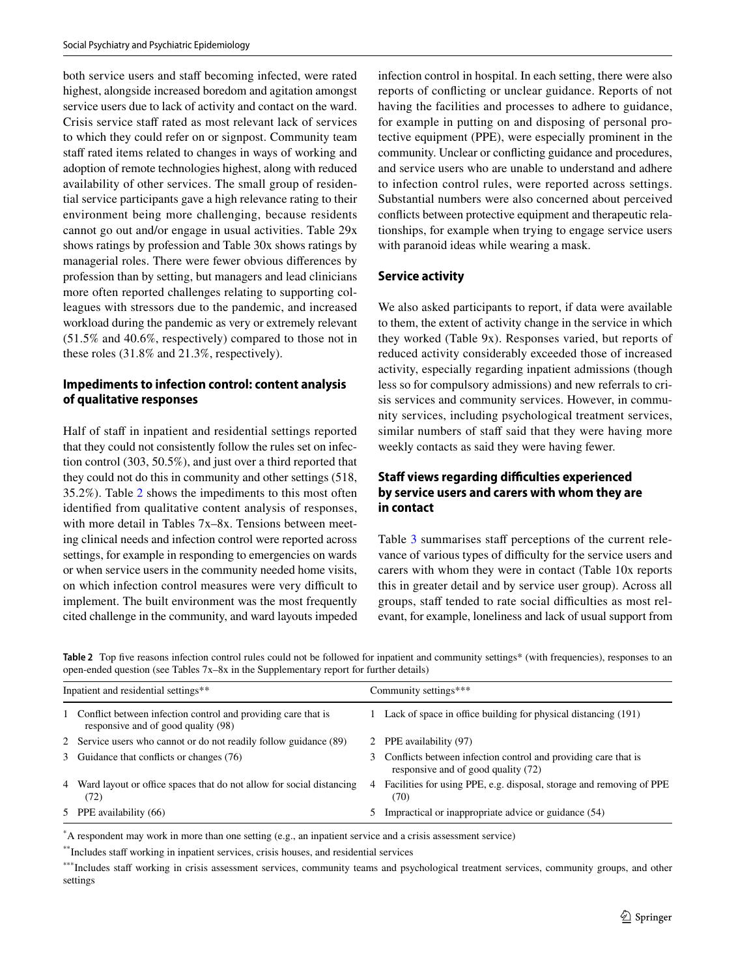both service users and staff becoming infected, were rated highest, alongside increased boredom and agitation amongst service users due to lack of activity and contact on the ward. Crisis service staff rated as most relevant lack of services to which they could refer on or signpost. Community team staff rated items related to changes in ways of working and adoption of remote technologies highest, along with reduced availability of other services. The small group of residential service participants gave a high relevance rating to their environment being more challenging, because residents cannot go out and/or engage in usual activities. Table 29x shows ratings by profession and Table 30x shows ratings by managerial roles. There were fewer obvious diferences by profession than by setting, but managers and lead clinicians more often reported challenges relating to supporting colleagues with stressors due to the pandemic, and increased workload during the pandemic as very or extremely relevant (51.5% and 40.6%, respectively) compared to those not in these roles (31.8% and 21.3%, respectively).

## **Impediments to infection control: content analysis of qualitative responses**

Half of staff in inpatient and residential settings reported that they could not consistently follow the rules set on infection control (303, 50.5%), and just over a third reported that they could not do this in community and other settings (518, 35.2%). Table [2](#page-4-0) shows the impediments to this most often identifed from qualitative content analysis of responses, with more detail in Tables 7x–8x. Tensions between meeting clinical needs and infection control were reported across settings, for example in responding to emergencies on wards or when service users in the community needed home visits, on which infection control measures were very difficult to implement. The built environment was the most frequently cited challenge in the community, and ward layouts impeded infection control in hospital. In each setting, there were also reports of conficting or unclear guidance. Reports of not having the facilities and processes to adhere to guidance, for example in putting on and disposing of personal protective equipment (PPE), were especially prominent in the community. Unclear or conficting guidance and procedures, and service users who are unable to understand and adhere to infection control rules, were reported across settings. Substantial numbers were also concerned about perceived conficts between protective equipment and therapeutic relationships, for example when trying to engage service users with paranoid ideas while wearing a mask.

### **Service activity**

We also asked participants to report, if data were available to them, the extent of activity change in the service in which they worked (Table 9x). Responses varied, but reports of reduced activity considerably exceeded those of increased activity, especially regarding inpatient admissions (though less so for compulsory admissions) and new referrals to crisis services and community services. However, in community services, including psychological treatment services, similar numbers of staff said that they were having more weekly contacts as said they were having fewer.

## **Staff views regarding difficulties experienced by service users and carers with whom they are in contact**

Table [3](#page-5-0) summarises staff perceptions of the current relevance of various types of difficulty for the service users and carers with whom they were in contact (Table 10x reports this in greater detail and by service user group). Across all groups, staff tended to rate social difficulties as most relevant, for example, loneliness and lack of usual support from

<span id="page-4-0"></span>**Table 2** Top five reasons infection control rules could not be followed for inpatient and community settings\* (with frequencies), responses to an open-ended question (see Tables 7x–8x in the Supplementary report for further details)

| Inpatient and residential settings** |                                                                                                        |   | Community settings***                                                                                   |  |  |  |
|--------------------------------------|--------------------------------------------------------------------------------------------------------|---|---------------------------------------------------------------------------------------------------------|--|--|--|
|                                      | 1 Conflict between infection control and providing care that is<br>responsive and of good quality (98) |   | Lack of space in office building for physical distancing (191)                                          |  |  |  |
|                                      | 2 Service users who cannot or do not readily follow guidance (89)                                      |   | 2 PPE availability (97)                                                                                 |  |  |  |
|                                      | 3 Guidance that conflicts or changes (76)                                                              |   | 3 Conflicts between infection control and providing care that is<br>responsive and of good quality (72) |  |  |  |
|                                      | 4 Ward layout or office spaces that do not allow for social distancing<br>(72)                         | 4 | Facilities for using PPE, e.g. disposal, storage and removing of PPE<br>(70)                            |  |  |  |
|                                      | 5 PPE availability (66)                                                                                |   | Impractical or inappropriate advice or guidance (54)                                                    |  |  |  |

\* A respondent may work in more than one setting (e.g., an inpatient service and a crisis assessment service)

\*\*Includes staff working in inpatient services, crisis houses, and residential services

\*\*\*Includes staff working in crisis assessment services, community teams and psychological treatment services, community groups, and other settings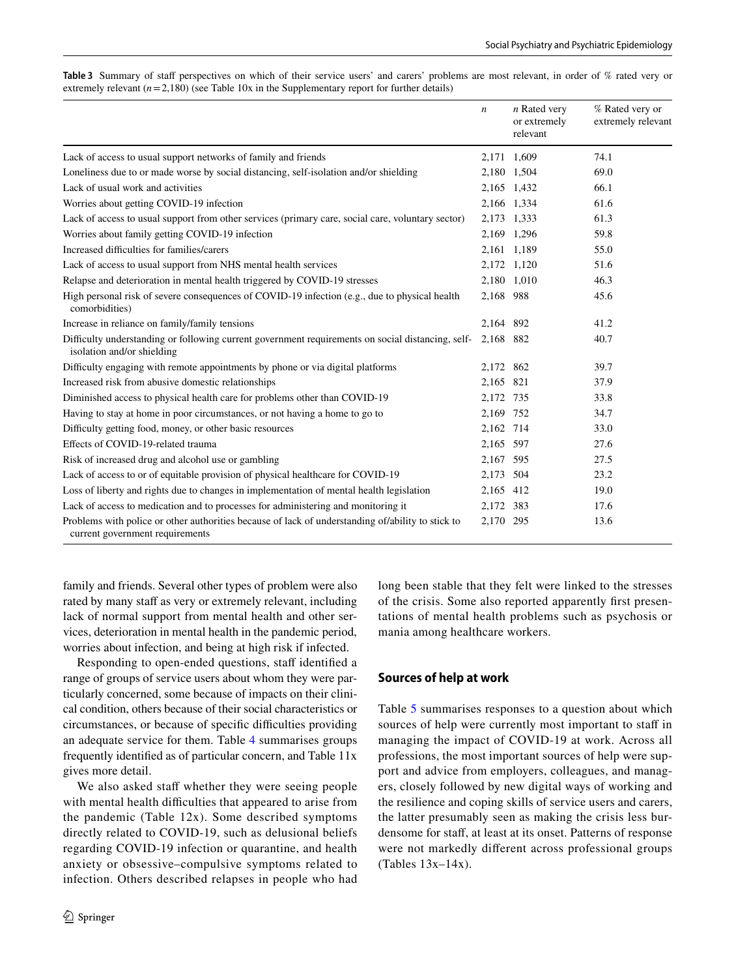<span id="page-5-0"></span>Table 3 Summary of staff perspectives on which of their service users' and carers' problems are most relevant, in order of % rated very or extremely relevant  $(n=2,180)$  (see Table 10x in the Supplementary report for further details)

|                                                                                                                                      | $\boldsymbol{n}$ | $n$ Rated very<br>or extremely<br>relevant | % Rated very or<br>extremely relevant |
|--------------------------------------------------------------------------------------------------------------------------------------|------------------|--------------------------------------------|---------------------------------------|
| Lack of access to usual support networks of family and friends                                                                       |                  | 2,171 1,609                                | 74.1                                  |
| Loneliness due to or made worse by social distancing, self-isolation and/or shielding                                                |                  | 2,180 1,504                                | 69.0                                  |
| Lack of usual work and activities                                                                                                    |                  | 2,165 1,432                                | 66.1                                  |
| Worries about getting COVID-19 infection                                                                                             |                  | 2,166 1,334                                | 61.6                                  |
| Lack of access to usual support from other services (primary care, social care, voluntary sector)                                    |                  | 2,173 1,333                                | 61.3                                  |
| Worries about family getting COVID-19 infection                                                                                      |                  | 2,169 1,296                                | 59.8                                  |
| Increased difficulties for families/carers                                                                                           |                  | 2,161 1,189                                | 55.0                                  |
| Lack of access to usual support from NHS mental health services                                                                      |                  | 2,172 1,120                                | 51.6                                  |
| Relapse and deterioration in mental health triggered by COVID-19 stresses                                                            |                  | 2,180 1,010                                | 46.3                                  |
| High personal risk of severe consequences of COVID-19 infection (e.g., due to physical health<br>comorbidities)                      | 2,168 988        |                                            | 45.6                                  |
| Increase in reliance on family/family tensions                                                                                       | 2,164 892        |                                            | 41.2                                  |
| Difficulty understanding or following current government requirements on social distancing, self-<br>isolation and/or shielding      | 2,168 882        |                                            | 40.7                                  |
| Difficulty engaging with remote appointments by phone or via digital platforms                                                       | 2,172 862        |                                            | 39.7                                  |
| Increased risk from abusive domestic relationships                                                                                   | 2,165 821        |                                            | 37.9                                  |
| Diminished access to physical health care for problems other than COVID-19                                                           | 2,172 735        |                                            | 33.8                                  |
| Having to stay at home in poor circumstances, or not having a home to go to                                                          | 2,169 752        |                                            | 34.7                                  |
| Difficulty getting food, money, or other basic resources                                                                             | 2,162 714        |                                            | 33.0                                  |
| Effects of COVID-19-related trauma                                                                                                   | 2,165 597        |                                            | 27.6                                  |
| Risk of increased drug and alcohol use or gambling                                                                                   | 2,167 595        |                                            | 27.5                                  |
| Lack of access to or of equitable provision of physical healthcare for COVID-19                                                      | 2,173 504        |                                            | 23.2                                  |
| Loss of liberty and rights due to changes in implementation of mental health legislation                                             | 2,165 412        |                                            | 19.0                                  |
| Lack of access to medication and to processes for administering and monitoring it                                                    | 2,172 383        |                                            | 17.6                                  |
| Problems with police or other authorities because of lack of understanding of/ability to stick to<br>current government requirements | 2,170 295        |                                            | 13.6                                  |

family and friends. Several other types of problem were also rated by many staff as very or extremely relevant, including lack of normal support from mental health and other services, deterioration in mental health in the pandemic period, worries about infection, and being at high risk if infected.

Responding to open-ended questions, staff identified a range of groups of service users about whom they were particularly concerned, some because of impacts on their clinical condition, others because of their social characteristics or circumstances, or because of specific difficulties providing an adequate service for them. Table [4](#page-6-0) summarises groups frequently identifed as of particular concern, and Table 11x gives more detail.

We also asked staff whether they were seeing people with mental health difficulties that appeared to arise from the pandemic (Table 12x). Some described symptoms directly related to COVID-19, such as delusional beliefs regarding COVID-19 infection or quarantine, and health anxiety or obsessive–compulsive symptoms related to infection. Others described relapses in people who had long been stable that they felt were linked to the stresses of the crisis. Some also reported apparently frst presentations of mental health problems such as psychosis or mania among healthcare workers.

#### **Sources of help at work**

Table [5](#page-6-1) summarises responses to a question about which sources of help were currently most important to staff in managing the impact of COVID-19 at work. Across all professions, the most important sources of help were support and advice from employers, colleagues, and managers, closely followed by new digital ways of working and the resilience and coping skills of service users and carers, the latter presumably seen as making the crisis less burdensome for staf, at least at its onset. Patterns of response were not markedly diferent across professional groups (Tables 13x–14x).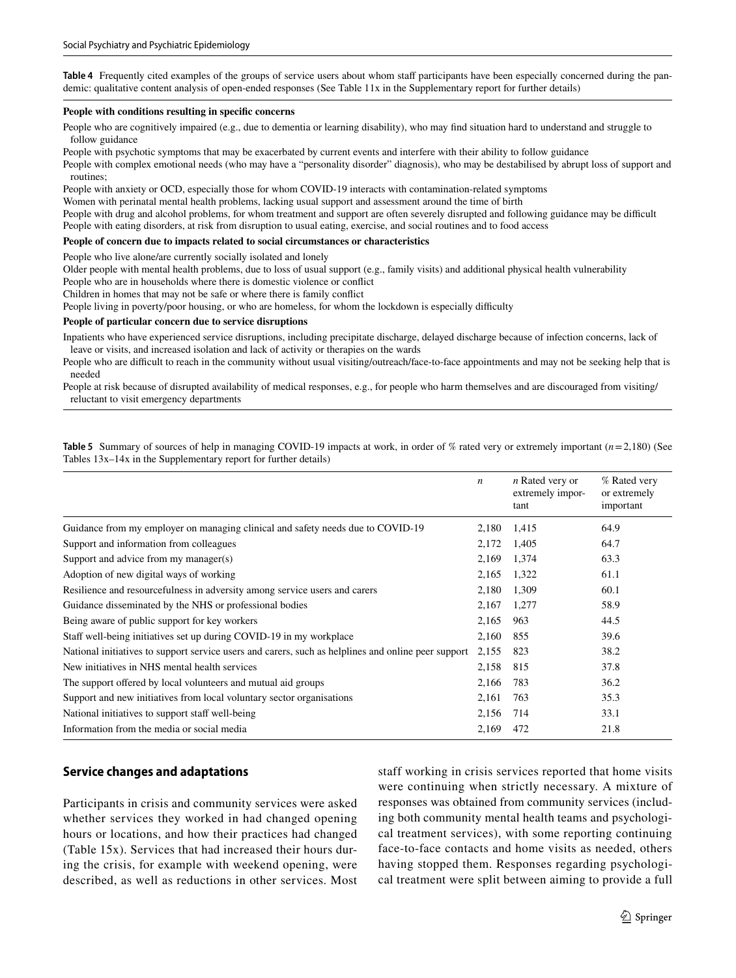<span id="page-6-0"></span>**Table 4** Frequently cited examples of the groups of service users about whom staff participants have been especially concerned during the pandemic: qualitative content analysis of open-ended responses (See Table 11x in the Supplementary report for further details)

#### **People with conditions resulting in specifc concerns**

People who are cognitively impaired (e.g., due to dementia or learning disability), who may fnd situation hard to understand and struggle to follow guidance

People with psychotic symptoms that may be exacerbated by current events and interfere with their ability to follow guidance

People with complex emotional needs (who may have a "personality disorder" diagnosis), who may be destabilised by abrupt loss of support and routines;

People with anxiety or OCD, especially those for whom COVID-19 interacts with contamination-related symptoms

Women with perinatal mental health problems, lacking usual support and assessment around the time of birth

People with drug and alcohol problems, for whom treatment and support are often severely disrupted and following guidance may be difficult People with eating disorders, at risk from disruption to usual eating, exercise, and social routines and to food access

#### **People of concern due to impacts related to social circumstances or characteristics**

People who live alone/are currently socially isolated and lonely

Older people with mental health problems, due to loss of usual support (e.g., family visits) and additional physical health vulnerability People who are in households where there is domestic violence or confict

Children in homes that may not be safe or where there is family confict

People living in poverty/poor housing, or who are homeless, for whom the lockdown is especially difficulty

#### **People of particular concern due to service disruptions**

Inpatients who have experienced service disruptions, including precipitate discharge, delayed discharge because of infection concerns, lack of leave or visits, and increased isolation and lack of activity or therapies on the wards

People who are difficult to reach in the community without usual visiting/outreach/face-to-face appointments and may not be seeking help that is needed

People at risk because of disrupted availability of medical responses, e.g., for people who harm themselves and are discouraged from visiting/ reluctant to visit emergency departments

<span id="page-6-1"></span>

|                                                                 |  |  | <b>Table 5</b> Summary of sources of help in managing COVID-19 impacts at work, in order of % rated very or extremely important $(n=2,180)$ (See |
|-----------------------------------------------------------------|--|--|--------------------------------------------------------------------------------------------------------------------------------------------------|
| Tables 13x–14x in the Supplementary report for further details) |  |  |                                                                                                                                                  |

|                                                                                                     | $\boldsymbol{n}$ | <i>n</i> Rated very or<br>extremely impor-<br>tant | % Rated very<br>or extremely<br>important |
|-----------------------------------------------------------------------------------------------------|------------------|----------------------------------------------------|-------------------------------------------|
| Guidance from my employer on managing clinical and safety needs due to COVID-19                     | 2,180            | 1,415                                              | 64.9                                      |
| Support and information from colleagues                                                             | 2,172            | 1,405                                              | 64.7                                      |
| Support and advice from my manager $(s)$                                                            | 2,169            | 1,374                                              | 63.3                                      |
| Adoption of new digital ways of working                                                             | 2,165            | 1,322                                              | 61.1                                      |
| Resilience and resource fulness in adversity among service users and carers                         | 2,180            | 1,309                                              | 60.1                                      |
| Guidance disseminated by the NHS or professional bodies                                             | 2,167            | 1,277                                              | 58.9                                      |
| Being aware of public support for key workers                                                       | 2,165            | 963                                                | 44.5                                      |
| Staff well-being initiatives set up during COVID-19 in my workplace                                 | 2,160            | 855                                                | 39.6                                      |
| National initiatives to support service users and carers, such as helplines and online peer support | 2,155            | 823                                                | 38.2                                      |
| New initiatives in NHS mental health services                                                       | 2,158            | 815                                                | 37.8                                      |
| The support offered by local volunteers and mutual aid groups                                       | 2,166            | 783                                                | 36.2                                      |
| Support and new initiatives from local voluntary sector organisations                               | 2,161            | 763                                                | 35.3                                      |
| National initiatives to support staff well-being                                                    | 2,156            | 714                                                | 33.1                                      |
| Information from the media or social media                                                          | 2,169            | 472                                                | 21.8                                      |

#### **Service changes and adaptations**

Participants in crisis and community services were asked whether services they worked in had changed opening hours or locations, and how their practices had changed (Table 15x). Services that had increased their hours during the crisis, for example with weekend opening, were described, as well as reductions in other services. Most staff working in crisis services reported that home visits were continuing when strictly necessary. A mixture of responses was obtained from community services (including both community mental health teams and psychological treatment services), with some reporting continuing face-to-face contacts and home visits as needed, others having stopped them. Responses regarding psychological treatment were split between aiming to provide a full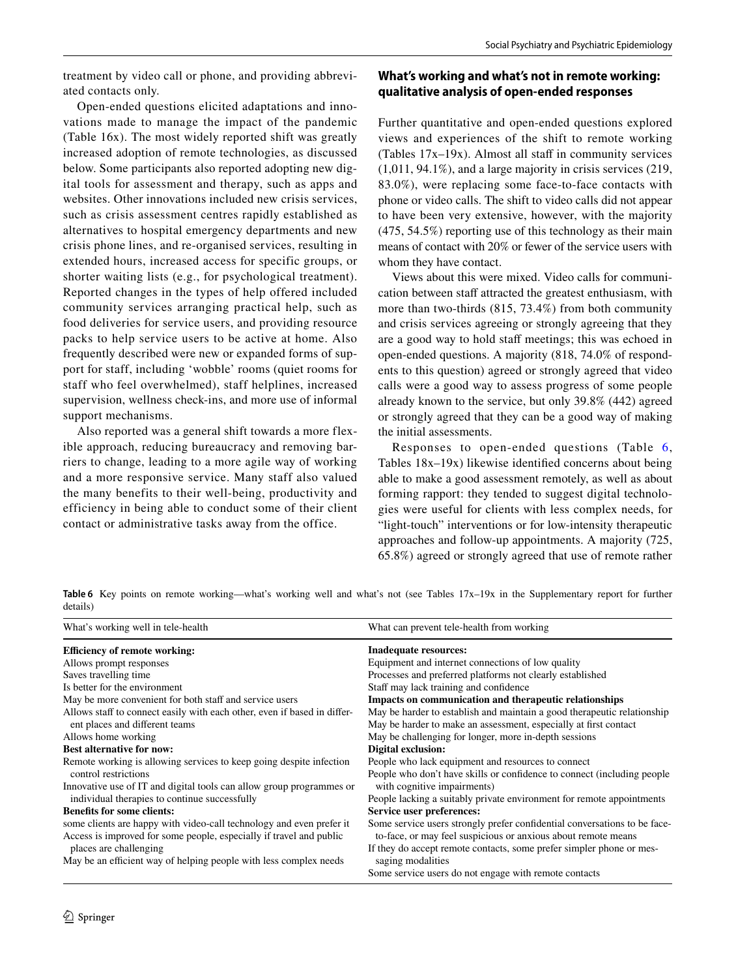Open-ended questions elicited adaptations and innovations made to manage the impact of the pandemic (Table 16x). The most widely reported shift was greatly increased adoption of remote technologies, as discussed below. Some participants also reported adopting new digital tools for assessment and therapy, such as apps and websites. Other innovations included new crisis services, such as crisis assessment centres rapidly established as alternatives to hospital emergency departments and new crisis phone lines, and re-organised services, resulting in extended hours, increased access for specific groups, or shorter waiting lists (e.g., for psychological treatment). Reported changes in the types of help offered included community services arranging practical help, such as food deliveries for service users, and providing resource packs to help service users to be active at home. Also frequently described were new or expanded forms of support for staff, including 'wobble' rooms (quiet rooms for staff who feel overwhelmed), staff helplines, increased supervision, wellness check-ins, and more use of informal support mechanisms.

Also reported was a general shift towards a more flexible approach, reducing bureaucracy and removing barriers to change, leading to a more agile way of working and a more responsive service. Many staff also valued the many benefits to their well-being, productivity and efficiency in being able to conduct some of their client contact or administrative tasks away from the office.

# **What's working and what's not in remote working: qualitative analysis of open‑ended responses**

Further quantitative and open-ended questions explored views and experiences of the shift to remote working (Tables 17x-19x). Almost all staff in community services (1,011, 94.1%), and a large majority in crisis services (219, 83.0%), were replacing some face-to-face contacts with phone or video calls. The shift to video calls did not appear to have been very extensive, however, with the majority (475, 54.5%) reporting use of this technology as their main means of contact with 20% or fewer of the service users with whom they have contact.

Views about this were mixed. Video calls for communication between staff attracted the greatest enthusiasm, with more than two-thirds (815, 73.4%) from both community and crisis services agreeing or strongly agreeing that they are a good way to hold staff meetings; this was echoed in open-ended questions. A majority (818, 74.0% of respondents to this question) agreed or strongly agreed that video calls were a good way to assess progress of some people already known to the service, but only 39.8% (442) agreed or strongly agreed that they can be a good way of making the initial assessments.

Responses to open-ended questions (Table [6,](#page-7-0) Tables 18x–19x) likewise identifed concerns about being able to make a good assessment remotely, as well as about forming rapport: they tended to suggest digital technologies were useful for clients with less complex needs, for "light-touch" interventions or for low-intensity therapeutic approaches and follow-up appointments. A majority (725, 65.8%) agreed or strongly agreed that use of remote rather

<span id="page-7-0"></span>**Table 6** Key points on remote working—what's working well and what's not (see Tables  $17x-19x$  in the Supplementary report for further details)

| What's working well in tele-health                                       | What can prevent tele-health from working                                 |  |  |  |
|--------------------------------------------------------------------------|---------------------------------------------------------------------------|--|--|--|
| <b>Efficiency of remote working:</b>                                     | Inadequate resources:                                                     |  |  |  |
| Allows prompt responses                                                  | Equipment and internet connections of low quality                         |  |  |  |
| Saves travelling time                                                    | Processes and preferred platforms not clearly established                 |  |  |  |
| Is better for the environment                                            | Staff may lack training and confidence                                    |  |  |  |
| May be more convenient for both staff and service users                  | Impacts on communication and therapeutic relationships                    |  |  |  |
| Allows staff to connect easily with each other, even if based in differ- | May be harder to establish and maintain a good therapeutic relationship   |  |  |  |
| ent places and different teams                                           | May be harder to make an assessment, especially at first contact          |  |  |  |
| Allows home working                                                      | May be challenging for longer, more in-depth sessions                     |  |  |  |
| <b>Best alternative for now:</b>                                         | Digital exclusion:                                                        |  |  |  |
| Remote working is allowing services to keep going despite infection      | People who lack equipment and resources to connect                        |  |  |  |
| control restrictions                                                     | People who don't have skills or confidence to connect (including people   |  |  |  |
| Innovative use of IT and digital tools can allow group programmes or     | with cognitive impairments)                                               |  |  |  |
| individual therapies to continue successfully                            | People lacking a suitably private environment for remote appointments     |  |  |  |
| <b>Benefits for some clients:</b>                                        | Service user preferences:                                                 |  |  |  |
| some clients are happy with video-call technology and even prefer it     | Some service users strongly prefer confidential conversations to be face- |  |  |  |
| Access is improved for some people, especially if travel and public      | to-face, or may feel suspicious or anxious about remote means             |  |  |  |
| places are challenging                                                   | If they do accept remote contacts, some prefer simpler phone or mes-      |  |  |  |
| May be an efficient way of helping people with less complex needs        | saging modalities                                                         |  |  |  |
|                                                                          | Some service users do not engage with remote contacts                     |  |  |  |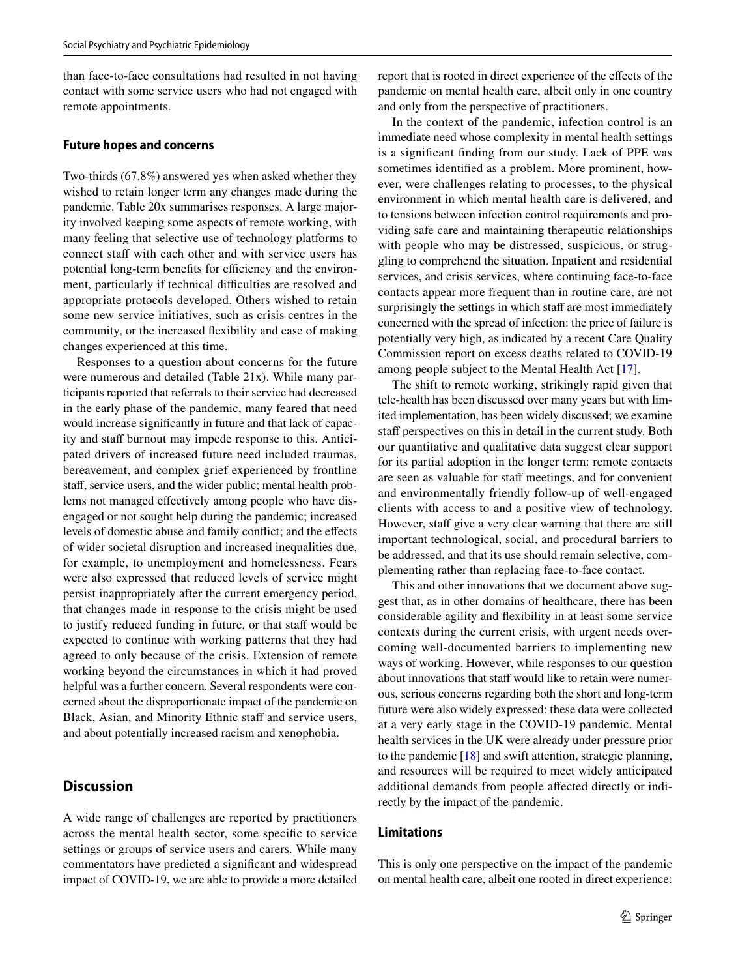than face-to-face consultations had resulted in not having contact with some service users who had not engaged with remote appointments.

#### **Future hopes and concerns**

Two-thirds (67.8%) answered yes when asked whether they wished to retain longer term any changes made during the pandemic. Table 20x summarises responses. A large majority involved keeping some aspects of remote working, with many feeling that selective use of technology platforms to connect staff with each other and with service users has potential long-term benefits for efficiency and the environment, particularly if technical difficulties are resolved and appropriate protocols developed. Others wished to retain some new service initiatives, such as crisis centres in the community, or the increased fexibility and ease of making changes experienced at this time.

Responses to a question about concerns for the future were numerous and detailed (Table 21x). While many participants reported that referrals to their service had decreased in the early phase of the pandemic, many feared that need would increase signifcantly in future and that lack of capacity and staff burnout may impede response to this. Anticipated drivers of increased future need included traumas, bereavement, and complex grief experienced by frontline staff, service users, and the wider public; mental health problems not managed effectively among people who have disengaged or not sought help during the pandemic; increased levels of domestic abuse and family confict; and the efects of wider societal disruption and increased inequalities due, for example, to unemployment and homelessness. Fears were also expressed that reduced levels of service might persist inappropriately after the current emergency period, that changes made in response to the crisis might be used to justify reduced funding in future, or that staff would be expected to continue with working patterns that they had agreed to only because of the crisis. Extension of remote working beyond the circumstances in which it had proved helpful was a further concern. Several respondents were concerned about the disproportionate impact of the pandemic on Black, Asian, and Minority Ethnic staff and service users, and about potentially increased racism and xenophobia.

#### **Discussion**

A wide range of challenges are reported by practitioners across the mental health sector, some specifc to service settings or groups of service users and carers. While many commentators have predicted a signifcant and widespread impact of COVID-19, we are able to provide a more detailed report that is rooted in direct experience of the efects of the pandemic on mental health care, albeit only in one country and only from the perspective of practitioners.

In the context of the pandemic, infection control is an immediate need whose complexity in mental health settings is a signifcant fnding from our study. Lack of PPE was sometimes identifed as a problem. More prominent, however, were challenges relating to processes, to the physical environment in which mental health care is delivered, and to tensions between infection control requirements and providing safe care and maintaining therapeutic relationships with people who may be distressed, suspicious, or struggling to comprehend the situation. Inpatient and residential services, and crisis services, where continuing face-to-face contacts appear more frequent than in routine care, are not surprisingly the settings in which staff are most immediately concerned with the spread of infection: the price of failure is potentially very high, as indicated by a recent Care Quality Commission report on excess deaths related to COVID-19 among people subject to the Mental Health Act [[17\]](#page-11-15).

The shift to remote working, strikingly rapid given that tele-health has been discussed over many years but with limited implementation, has been widely discussed; we examine staff perspectives on this in detail in the current study. Both our quantitative and qualitative data suggest clear support for its partial adoption in the longer term: remote contacts are seen as valuable for staff meetings, and for convenient and environmentally friendly follow-up of well-engaged clients with access to and a positive view of technology. However, staff give a very clear warning that there are still important technological, social, and procedural barriers to be addressed, and that its use should remain selective, complementing rather than replacing face-to-face contact.

This and other innovations that we document above suggest that, as in other domains of healthcare, there has been considerable agility and fexibility in at least some service contexts during the current crisis, with urgent needs overcoming well-documented barriers to implementing new ways of working. However, while responses to our question about innovations that staff would like to retain were numerous, serious concerns regarding both the short and long-term future were also widely expressed: these data were collected at a very early stage in the COVID-19 pandemic. Mental health services in the UK were already under pressure prior to the pandemic [\[18\]](#page-11-16) and swift attention, strategic planning, and resources will be required to meet widely anticipated additional demands from people afected directly or indirectly by the impact of the pandemic.

#### **Limitations**

This is only one perspective on the impact of the pandemic on mental health care, albeit one rooted in direct experience: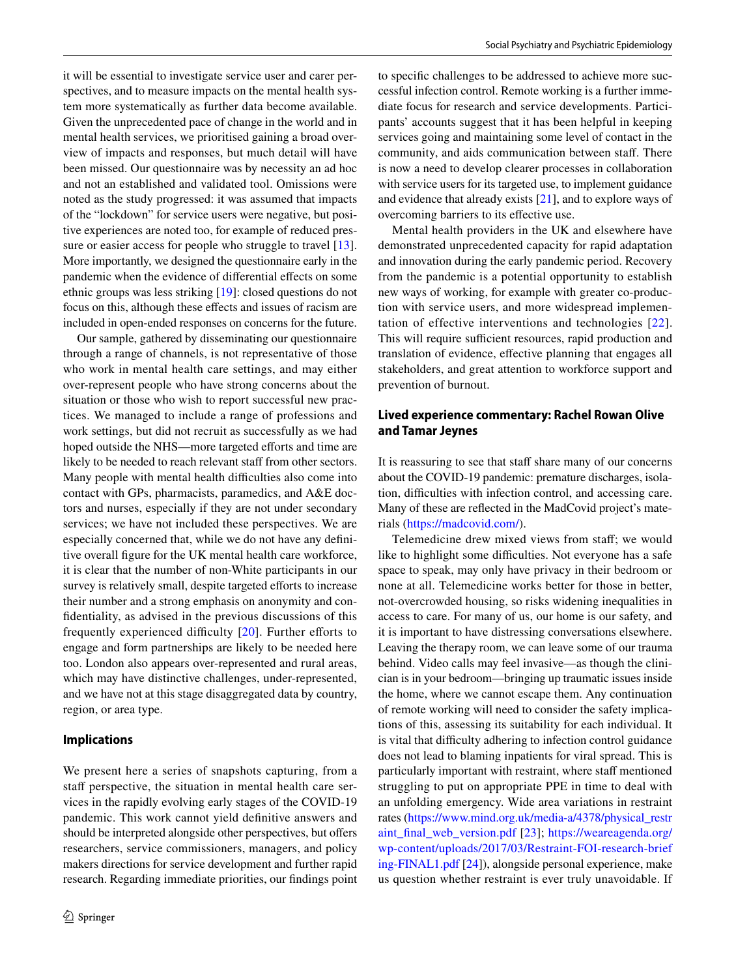it will be essential to investigate service user and carer perspectives, and to measure impacts on the mental health system more systematically as further data become available. Given the unprecedented pace of change in the world and in mental health services, we prioritised gaining a broad overview of impacts and responses, but much detail will have been missed. Our questionnaire was by necessity an ad hoc and not an established and validated tool. Omissions were noted as the study progressed: it was assumed that impacts of the "lockdown" for service users were negative, but positive experiences are noted too, for example of reduced pres-sure or easier access for people who struggle to travel [\[13](#page-11-11)]. More importantly, we designed the questionnaire early in the pandemic when the evidence of differential effects on some ethnic groups was less striking [\[19](#page-11-17)]: closed questions do not focus on this, although these efects and issues of racism are included in open-ended responses on concerns for the future.

Our sample, gathered by disseminating our questionnaire through a range of channels, is not representative of those who work in mental health care settings, and may either over-represent people who have strong concerns about the situation or those who wish to report successful new practices. We managed to include a range of professions and work settings, but did not recruit as successfully as we had hoped outside the NHS—more targeted efforts and time are likely to be needed to reach relevant staff from other sectors. Many people with mental health difficulties also come into contact with GPs, pharmacists, paramedics, and A&E doctors and nurses, especially if they are not under secondary services; we have not included these perspectives. We are especially concerned that, while we do not have any defnitive overall fgure for the UK mental health care workforce, it is clear that the number of non-White participants in our survey is relatively small, despite targeted efforts to increase their number and a strong emphasis on anonymity and confdentiality, as advised in the previous discussions of this frequently experienced difficulty  $[20]$  $[20]$  $[20]$ . Further efforts to engage and form partnerships are likely to be needed here too. London also appears over-represented and rural areas, which may have distinctive challenges, under-represented, and we have not at this stage disaggregated data by country, region, or area type.

#### **Implications**

We present here a series of snapshots capturing, from a staff perspective, the situation in mental health care services in the rapidly evolving early stages of the COVID-19 pandemic. This work cannot yield defnitive answers and should be interpreted alongside other perspectives, but offers researchers, service commissioners, managers, and policy makers directions for service development and further rapid research. Regarding immediate priorities, our fndings point to specifc challenges to be addressed to achieve more successful infection control. Remote working is a further immediate focus for research and service developments. Participants' accounts suggest that it has been helpful in keeping services going and maintaining some level of contact in the community, and aids communication between staf. There is now a need to develop clearer processes in collaboration with service users for its targeted use, to implement guidance and evidence that already exists [\[21](#page-11-19)], and to explore ways of overcoming barriers to its efective use.

Mental health providers in the UK and elsewhere have demonstrated unprecedented capacity for rapid adaptation and innovation during the early pandemic period. Recovery from the pandemic is a potential opportunity to establish new ways of working, for example with greater co-production with service users, and more widespread implementation of effective interventions and technologies [[22](#page-11-20)]. This will require sufficient resources, rapid production and translation of evidence, efective planning that engages all stakeholders, and great attention to workforce support and prevention of burnout.

#### **Lived experience commentary: Rachel Rowan Olive and Tamar Jeynes**

It is reassuring to see that staff share many of our concerns about the COVID-19 pandemic: premature discharges, isolation, difficulties with infection control, and accessing care. Many of these are refected in the MadCovid project's materials (<https://madcovid.com/>).

Telemedicine drew mixed views from staf; we would like to highlight some difficulties. Not everyone has a safe space to speak, may only have privacy in their bedroom or none at all. Telemedicine works better for those in better, not-overcrowded housing, so risks widening inequalities in access to care. For many of us, our home is our safety, and it is important to have distressing conversations elsewhere. Leaving the therapy room, we can leave some of our trauma behind. Video calls may feel invasive—as though the clinician is in your bedroom—bringing up traumatic issues inside the home, where we cannot escape them. Any continuation of remote working will need to consider the safety implications of this, assessing its suitability for each individual. It is vital that difficulty adhering to infection control guidance does not lead to blaming inpatients for viral spread. This is particularly important with restraint, where staff mentioned struggling to put on appropriate PPE in time to deal with an unfolding emergency. Wide area variations in restraint rates [\(https://www.mind.org.uk/media-a/4378/physical\\_restr](https://www.mind.org.uk/media-a/4378/physical_restraint_final_web_version.pdf) [aint\\_fnal\\_web\\_version.pdf](https://www.mind.org.uk/media-a/4378/physical_restraint_final_web_version.pdf) [\[23\]](#page-11-21); [https://weareagenda.org/](https://weareagenda.org/wp-content/uploads/2017/03/Restraint-FOI-research-briefing-FINAL1.pdf) [wp-content/uploads/2017/03/Restraint-FOI-research-brief](https://weareagenda.org/wp-content/uploads/2017/03/Restraint-FOI-research-briefing-FINAL1.pdf) [ing-FINAL1.pdf](https://weareagenda.org/wp-content/uploads/2017/03/Restraint-FOI-research-briefing-FINAL1.pdf) [\[24](#page-11-22)]), alongside personal experience, make us question whether restraint is ever truly unavoidable. If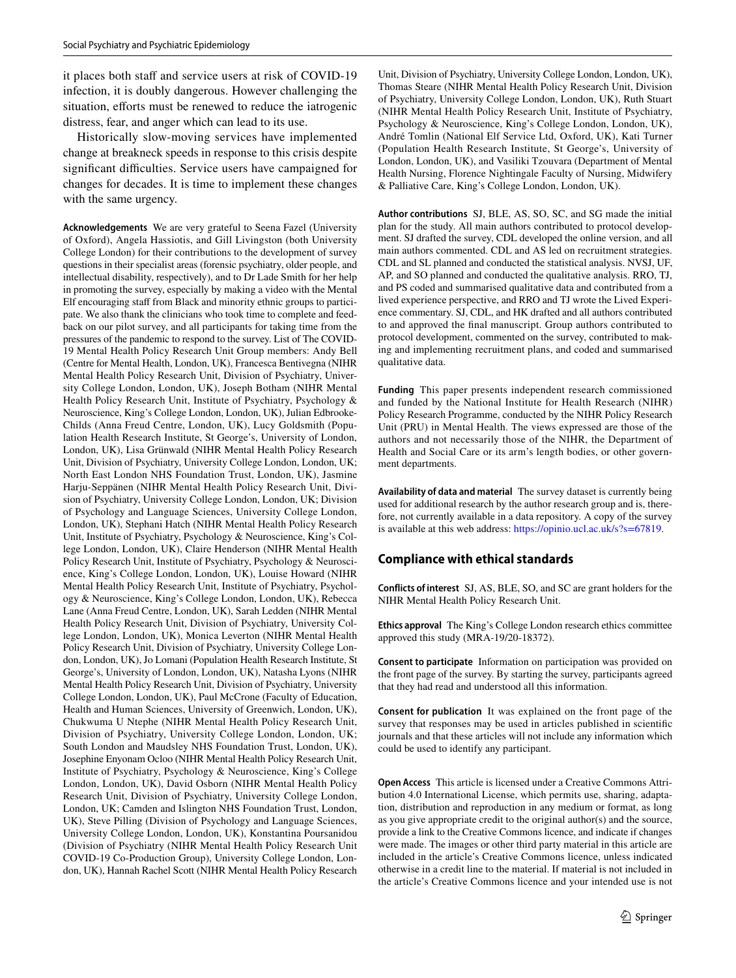it places both staff and service users at risk of COVID-19 infection, it is doubly dangerous. However challenging the situation, efforts must be renewed to reduce the iatrogenic distress, fear, and anger which can lead to its use.

Historically slow-moving services have implemented change at breakneck speeds in response to this crisis despite significant difficulties. Service users have campaigned for changes for decades. It is time to implement these changes with the same urgency.

**Acknowledgements** We are very grateful to Seena Fazel (University of Oxford), Angela Hassiotis, and Gill Livingston (both University College London) for their contributions to the development of survey questions in their specialist areas (forensic psychiatry, older people, and intellectual disability, respectively), and to Dr Lade Smith for her help in promoting the survey, especially by making a video with the Mental Elf encouraging staff from Black and minority ethnic groups to participate. We also thank the clinicians who took time to complete and feedback on our pilot survey, and all participants for taking time from the pressures of the pandemic to respond to the survey. List of The COVID-19 Mental Health Policy Research Unit Group members: Andy Bell (Centre for Mental Health, London, UK), Francesca Bentivegna (NIHR Mental Health Policy Research Unit, Division of Psychiatry, University College London, London, UK), Joseph Botham (NIHR Mental Health Policy Research Unit, Institute of Psychiatry, Psychology & Neuroscience, King's College London, London, UK), Julian Edbrooke-Childs (Anna Freud Centre, London, UK), Lucy Goldsmith (Population Health Research Institute, St George's, University of London, London, UK), Lisa Grünwald (NIHR Mental Health Policy Research Unit, Division of Psychiatry, University College London, London, UK; North East London NHS Foundation Trust, London, UK), Jasmine Harju-Seppänen (NIHR Mental Health Policy Research Unit, Division of Psychiatry, University College London, London, UK; Division of Psychology and Language Sciences, University College London, London, UK), Stephani Hatch (NIHR Mental Health Policy Research Unit, Institute of Psychiatry, Psychology & Neuroscience, King's College London, London, UK), Claire Henderson (NIHR Mental Health Policy Research Unit, Institute of Psychiatry, Psychology & Neuroscience, King's College London, London, UK), Louise Howard (NIHR Mental Health Policy Research Unit, Institute of Psychiatry, Psychology & Neuroscience, King's College London, London, UK), Rebecca Lane (Anna Freud Centre, London, UK), Sarah Ledden (NIHR Mental Health Policy Research Unit, Division of Psychiatry, University College London, London, UK), Monica Leverton (NIHR Mental Health Policy Research Unit, Division of Psychiatry, University College London, London, UK), Jo Lomani (Population Health Research Institute, St George's, University of London, London, UK), Natasha Lyons (NIHR Mental Health Policy Research Unit, Division of Psychiatry, University College London, London, UK), Paul McCrone (Faculty of Education, Health and Human Sciences, University of Greenwich, London, UK), Chukwuma U Ntephe (NIHR Mental Health Policy Research Unit, Division of Psychiatry, University College London, London, UK; South London and Maudsley NHS Foundation Trust, London, UK), Josephine Enyonam Ocloo (NIHR Mental Health Policy Research Unit, Institute of Psychiatry, Psychology & Neuroscience, King's College London, London, UK), David Osborn (NIHR Mental Health Policy Research Unit, Division of Psychiatry, University College London, London, UK; Camden and Islington NHS Foundation Trust, London, UK), Steve Pilling (Division of Psychology and Language Sciences, University College London, London, UK), Konstantina Poursanidou (Division of Psychiatry (NIHR Mental Health Policy Research Unit COVID-19 Co-Production Group), University College London, London, UK), Hannah Rachel Scott (NIHR Mental Health Policy Research

Unit, Division of Psychiatry, University College London, London, UK), Thomas Steare (NIHR Mental Health Policy Research Unit, Division of Psychiatry, University College London, London, UK), Ruth Stuart (NIHR Mental Health Policy Research Unit, Institute of Psychiatry, Psychology & Neuroscience, King's College London, London, UK), André Tomlin (National Elf Service Ltd, Oxford, UK), Kati Turner (Population Health Research Institute, St George's, University of London, London, UK), and Vasiliki Tzouvara (Department of Mental Health Nursing, Florence Nightingale Faculty of Nursing, Midwifery & Palliative Care, King's College London, London, UK).

**Author contributions** SJ, BLE, AS, SO, SC, and SG made the initial plan for the study. All main authors contributed to protocol development. SJ drafted the survey, CDL developed the online version, and all main authors commented. CDL and AS led on recruitment strategies. CDL and SL planned and conducted the statistical analysis. NVSJ, UF, AP, and SO planned and conducted the qualitative analysis. RRO, TJ, and PS coded and summarised qualitative data and contributed from a lived experience perspective, and RRO and TJ wrote the Lived Experience commentary. SJ, CDL, and HK drafted and all authors contributed to and approved the fnal manuscript. Group authors contributed to protocol development, commented on the survey, contributed to making and implementing recruitment plans, and coded and summarised qualitative data.

**Funding** This paper presents independent research commissioned and funded by the National Institute for Health Research (NIHR) Policy Research Programme, conducted by the NIHR Policy Research Unit (PRU) in Mental Health. The views expressed are those of the authors and not necessarily those of the NIHR, the Department of Health and Social Care or its arm's length bodies, or other government departments.

**Availability of data and material** The survey dataset is currently being used for additional research by the author research group and is, therefore, not currently available in a data repository. A copy of the survey is available at this web address:<https://opinio.ucl.ac.uk/s?s=67819>.

#### **Compliance with ethical standards**

**Conflicts of interest** SJ, AS, BLE, SO, and SC are grant holders for the NIHR Mental Health Policy Research Unit.

**Ethics approval** The King's College London research ethics committee approved this study (MRA-19/20-18372).

**Consent to participate** Information on participation was provided on the front page of the survey. By starting the survey, participants agreed that they had read and understood all this information.

**Consent for publication** It was explained on the front page of the survey that responses may be used in articles published in scientifc journals and that these articles will not include any information which could be used to identify any participant.

**Open Access** This article is licensed under a Creative Commons Attribution 4.0 International License, which permits use, sharing, adaptation, distribution and reproduction in any medium or format, as long as you give appropriate credit to the original author(s) and the source, provide a link to the Creative Commons licence, and indicate if changes were made. The images or other third party material in this article are included in the article's Creative Commons licence, unless indicated otherwise in a credit line to the material. If material is not included in the article's Creative Commons licence and your intended use is not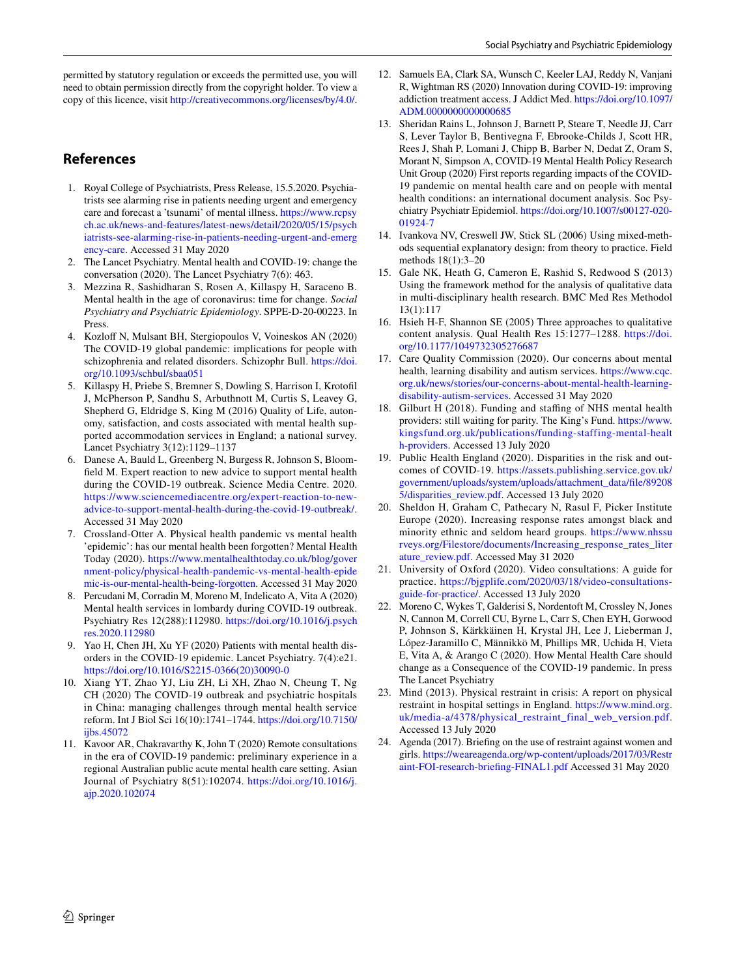permitted by statutory regulation or exceeds the permitted use, you will need to obtain permission directly from the copyright holder. To view a copy of this licence, visit <http://creativecommons.org/licenses/by/4.0/>.

## **References**

- <span id="page-11-0"></span>1. Royal College of Psychiatrists, Press Release, 15.5.2020. Psychiatrists see alarming rise in patients needing urgent and emergency care and forecast a 'tsunami' of mental illness. [https://www.rcpsy](https://www.rcpsych.ac.uk/news-and-features/latest-news/detail/2020/05/15/psychiatrists-see-alarming-rise-in-patients-needing-urgent-and-emergency-care) [ch.ac.uk/news-and-features/latest-news/detail/2020/05/15/psych](https://www.rcpsych.ac.uk/news-and-features/latest-news/detail/2020/05/15/psychiatrists-see-alarming-rise-in-patients-needing-urgent-and-emergency-care) [iatrists-see-alarming-rise-in-patients-needing-urgent-and-emerg](https://www.rcpsych.ac.uk/news-and-features/latest-news/detail/2020/05/15/psychiatrists-see-alarming-rise-in-patients-needing-urgent-and-emergency-care) [ency-care](https://www.rcpsych.ac.uk/news-and-features/latest-news/detail/2020/05/15/psychiatrists-see-alarming-rise-in-patients-needing-urgent-and-emergency-care). Accessed 31 May 2020
- <span id="page-11-1"></span>2. The Lancet Psychiatry. Mental health and COVID-19: change the conversation (2020). The Lancet Psychiatry 7(6): 463.
- <span id="page-11-2"></span>3. Mezzina R, Sashidharan S, Rosen A, Killaspy H, Saraceno B. Mental health in the age of coronavirus: time for change. *Social Psychiatry and Psychiatric Epidemiology*. SPPE-D-20-00223. In Press.
- <span id="page-11-3"></span>4. Kozloff N, Mulsant BH, Stergiopoulos V, Voineskos AN (2020) The COVID-19 global pandemic: implications for people with schizophrenia and related disorders. Schizophr Bull. [https://doi.](https://doi.org/10.1093/schbul/sbaa051) [org/10.1093/schbul/sbaa051](https://doi.org/10.1093/schbul/sbaa051)
- <span id="page-11-4"></span>5. Killaspy H, Priebe S, Bremner S, Dowling S, Harrison I, Krotofl J, McPherson P, Sandhu S, Arbuthnott M, Curtis S, Leavey G, Shepherd G, Eldridge S, King M (2016) Quality of Life, autonomy, satisfaction, and costs associated with mental health supported accommodation services in England; a national survey. Lancet Psychiatry 3(12):1129–1137
- <span id="page-11-5"></span>6. Danese A, Bauld L, Greenberg N, Burgess R, Johnson S, Bloomfeld M. Expert reaction to new advice to support mental health during the COVID-19 outbreak. Science Media Centre. 2020. [https://www.sciencemediacentre.org/expert-reaction-to-new](https://www.sciencemediacentre.org/expert-reaction-to-new-advice-to-support-mental-health-during-the-covid-19-outbreak/)[advice-to-support-mental-health-during-the-covid-19-outbreak/.](https://www.sciencemediacentre.org/expert-reaction-to-new-advice-to-support-mental-health-during-the-covid-19-outbreak/) Accessed 31 May 2020
- <span id="page-11-6"></span>7. Crossland-Otter A. Physical health pandemic vs mental health 'epidemic': has our mental health been forgotten? Mental Health Today (2020). [https://www.mentalhealthtoday.co.uk/blog/gover](https://www.mentalhealthtoday.co.uk/blog/government-policy/physical-health-pandemic-vs-mental-health-epidemic-is-our-mental-health-being-forgotten) [nment-policy/physical-health-pandemic-vs-mental-health-epide](https://www.mentalhealthtoday.co.uk/blog/government-policy/physical-health-pandemic-vs-mental-health-epidemic-is-our-mental-health-being-forgotten) [mic-is-our-mental-health-being-forgotten.](https://www.mentalhealthtoday.co.uk/blog/government-policy/physical-health-pandemic-vs-mental-health-epidemic-is-our-mental-health-being-forgotten) Accessed 31 May 2020
- <span id="page-11-7"></span>8. Percudani M, Corradin M, Moreno M, Indelicato A, Vita A (2020) Mental health services in lombardy during COVID-19 outbreak. Psychiatry Res 12(288):112980. [https://doi.org/10.1016/j.psych](https://doi.org/10.1016/j.psychres.2020.112980) [res.2020.112980](https://doi.org/10.1016/j.psychres.2020.112980)
- <span id="page-11-8"></span>9. Yao H, Chen JH, Xu YF (2020) Patients with mental health disorders in the COVID-19 epidemic. Lancet Psychiatry. 7(4):e21. [https://doi.org/10.1016/S2215-0366\(20\)30090-0](https://doi.org/10.1016/S2215-0366(20)30090-0)
- <span id="page-11-9"></span>10. Xiang YT, Zhao YJ, Liu ZH, Li XH, Zhao N, Cheung T, Ng CH (2020) The COVID-19 outbreak and psychiatric hospitals in China: managing challenges through mental health service reform. Int J Biol Sci 16(10):1741–1744. [https://doi.org/10.7150/](https://doi.org/10.7150/ijbs.45072) [ijbs.45072](https://doi.org/10.7150/ijbs.45072)
- 11. Kavoor AR, Chakravarthy K, John T (2020) Remote consultations in the era of COVID-19 pandemic: preliminary experience in a regional Australian public acute mental health care setting. Asian Journal of Psychiatry 8(51):102074. [https://doi.org/10.1016/j.](https://doi.org/10.1016/j.ajp.2020.102074) [ajp.2020.102074](https://doi.org/10.1016/j.ajp.2020.102074)
- <span id="page-11-10"></span>12. Samuels EA, Clark SA, Wunsch C, Keeler LAJ, Reddy N, Vanjani R, Wightman RS (2020) Innovation during COVID-19: improving addiction treatment access. J Addict Med. [https://doi.org/10.1097/](https://doi.org/10.1097/ADM.0000000000000685) [ADM.0000000000000685](https://doi.org/10.1097/ADM.0000000000000685)
- <span id="page-11-11"></span>13. Sheridan Rains L, Johnson J, Barnett P, Steare T, Needle JJ, Carr S, Lever Taylor B, Bentivegna F, Ebrooke-Childs J, Scott HR, Rees J, Shah P, Lomani J, Chipp B, Barber N, Dedat Z, Oram S, Morant N, Simpson A, COVID-19 Mental Health Policy Research Unit Group (2020) First reports regarding impacts of the COVID-19 pandemic on mental health care and on people with mental health conditions: an international document analysis. Soc Psychiatry Psychiatr Epidemiol. [https://doi.org/10.1007/s00127-020-](https://doi.org/10.1007/s00127-020-01924-7) [01924-7](https://doi.org/10.1007/s00127-020-01924-7)
- <span id="page-11-12"></span>14. Ivankova NV, Creswell JW, Stick SL (2006) Using mixed-methods sequential explanatory design: from theory to practice. Field methods 18(1):3–20
- <span id="page-11-13"></span>15. Gale NK, Heath G, Cameron E, Rashid S, Redwood S (2013) Using the framework method for the analysis of qualitative data in multi-disciplinary health research. BMC Med Res Methodol 13(1):117
- <span id="page-11-14"></span>16. Hsieh H-F, Shannon SE (2005) Three approaches to qualitative content analysis. Qual Health Res 15:1277–1288. [https://doi.](https://doi.org/10.1177/1049732305276687) [org/10.1177/1049732305276687](https://doi.org/10.1177/1049732305276687)
- <span id="page-11-15"></span>17. Care Quality Commission (2020). Our concerns about mental health, learning disability and autism services. [https://www.cqc.](https://www.cqc.org.uk/news/stories/our-concerns-about-mental-health-learning-disability-autism-services) [org.uk/news/stories/our-concerns-about-mental-health-learning](https://www.cqc.org.uk/news/stories/our-concerns-about-mental-health-learning-disability-autism-services)[disability-autism-services.](https://www.cqc.org.uk/news/stories/our-concerns-about-mental-health-learning-disability-autism-services) Accessed 31 May 2020
- <span id="page-11-16"></span>18. Gilburt H (2018). Funding and staffing of NHS mental health providers: still waiting for parity. The King's Fund. [https://www.](https://www.kingsfund.org.uk/publications/funding-staffing-mental-health-providers) [kingsfund.org.uk/publications/funding-staffing-mental-healt](https://www.kingsfund.org.uk/publications/funding-staffing-mental-health-providers) [h-providers.](https://www.kingsfund.org.uk/publications/funding-staffing-mental-health-providers) Accessed 13 July 2020
- <span id="page-11-17"></span>19. Public Health England (2020). Disparities in the risk and outcomes of COVID-19. [https://assets.publishing.service.gov.uk/](https://assets.publishing.service.gov.uk/government/uploads/system/uploads/attachment_data/file/892085/disparities_review.pdf) [government/uploads/system/uploads/attachment\\_data/fle/89208](https://assets.publishing.service.gov.uk/government/uploads/system/uploads/attachment_data/file/892085/disparities_review.pdf) [5/disparities\\_review.pdf.](https://assets.publishing.service.gov.uk/government/uploads/system/uploads/attachment_data/file/892085/disparities_review.pdf) Accessed 13 July 2020
- <span id="page-11-18"></span>20. Sheldon H, Graham C, Pathecary N, Rasul F, Picker Institute Europe (2020). Increasing response rates amongst black and minority ethnic and seldom heard groups. [https://www.nhssu](http://www.nhssurveys.org/Filestore/documents/Increasing_response_rates_literature_review.pdf) [rveys.org/Filestore/documents/Increasing\\_response\\_rates\\_liter](http://www.nhssurveys.org/Filestore/documents/Increasing_response_rates_literature_review.pdf) [ature\\_review.pdf.](http://www.nhssurveys.org/Filestore/documents/Increasing_response_rates_literature_review.pdf) Accessed May 31 2020
- <span id="page-11-19"></span>21. University of Oxford (2020). Video consultations: A guide for practice. [https://bjgplife.com/2020/03/18/video-consultations](https://bjgplife.com/2020/03/18/video-consultations-guide-for-practice/)[guide-for-practice/](https://bjgplife.com/2020/03/18/video-consultations-guide-for-practice/). Accessed 13 July 2020
- <span id="page-11-20"></span>22. Moreno C, Wykes T, Galderisi S, Nordentoft M, Crossley N, Jones N, Cannon M, Correll CU, Byrne L, Carr S, Chen EYH, Gorwood P, Johnson S, Kärkkäinen H, Krystal JH, Lee J, Lieberman J, López-Jaramillo C, Männikkö M, Phillips MR, Uchida H, Vieta E, Vita A, & Arango C (2020). How Mental Health Care should change as a Consequence of the COVID-19 pandemic. In press The Lancet Psychiatry
- <span id="page-11-21"></span>23. Mind (2013). Physical restraint in crisis: A report on physical restraint in hospital settings in England. [https://www.mind.org.](https://www.mind.org.uk/media-a/4378/physical_restraint_final_web_version.pdf) [uk/media-a/4378/physical\\_restraint\\_final\\_web\\_version.pdf](https://www.mind.org.uk/media-a/4378/physical_restraint_final_web_version.pdf). Accessed 13 July 2020
- <span id="page-11-22"></span>24. Agenda (2017). Briefng on the use of restraint against women and girls. [https://weareagenda.org/wp-content/uploads/2017/03/Restr](https://weareagenda.org/wp-content/uploads/2017/03/Restraint-FOI-research-briefing-FINAL1.pdf) [aint-FOI-research-briefing-FINAL1.pdf](https://weareagenda.org/wp-content/uploads/2017/03/Restraint-FOI-research-briefing-FINAL1.pdf) Accessed 31 May 2020